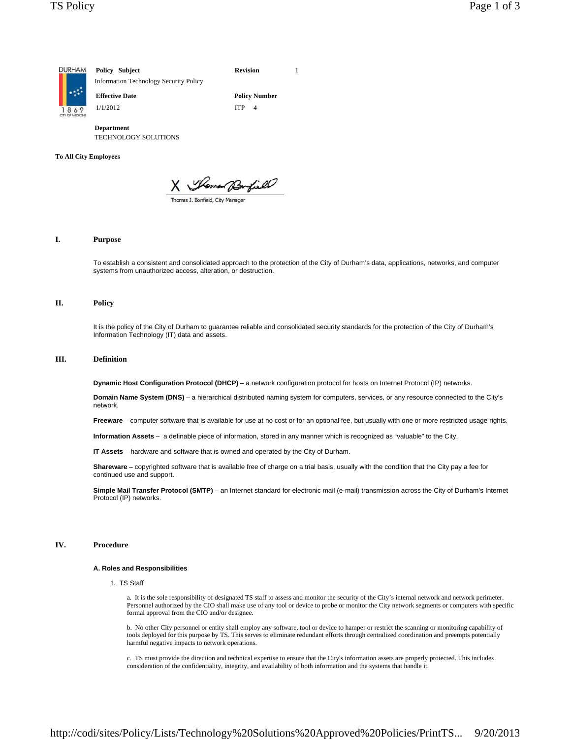

**Department** TECHNOLOGY SOLUTIONS

### **To All City Employees**

X Women Burfield

## **I. Purpose**

To establish a consistent and consolidated approach to the protection of the City of Durham's data, applications, networks, and computer systems from unauthorized access, alteration, or destruction.

# **II. Policy**

It is the policy of the City of Durham to guarantee reliable and consolidated security standards for the protection of the City of Durham's Information Technology (IT) data and assets.

# **III. Definition**

**Dynamic Host Configuration Protocol (DHCP)** – a network configuration protocol for hosts on Internet Protocol (IP) networks.

**Domain Name System (DNS)** – a hierarchical distributed naming system for computers, services, or any resource connected to the City's network.

**Freeware** – computer software that is available for use at no cost or for an optional fee, but usually with one or more restricted usage rights.

**Information Assets** – a definable piece of information, stored in any manner which is recognized as "valuable" to the City.

**IT Assets** – hardware and software that is owned and operated by the City of Durham.

**Shareware** – copyrighted software that is available free of charge on a trial basis, usually with the condition that the City pay a fee for continued use and support.

**Simple Mail Transfer Protocol (SMTP)** – an Internet standard for electronic mail (e-mail) transmission across the City of Durham's Internet Protocol (IP) networks.

# **IV. Procedure**

## **A. Roles and Responsibilities**

1. TS Staff

a. It is the sole responsibility of designated TS staff to assess and monitor the security of the City's internal network and network perimeter. Personnel authorized by the CIO shall make use of any tool or device to probe or monitor the City network segments or computers with specific formal approval from the CIO and/or designee.

b. No other City personnel or entity shall employ any software, tool or device to hamper or restrict the scanning or monitoring capability of tools deployed for this purpose by TS. This serves to eliminate redundant efforts through centralized coordination and preempts potentially harmful negative impacts to network operations.

c. TS must provide the direction and technical expertise to ensure that the City's information assets are properly protected. This includes consideration of the confidentiality, integrity, and availability of both information and the systems that handle it.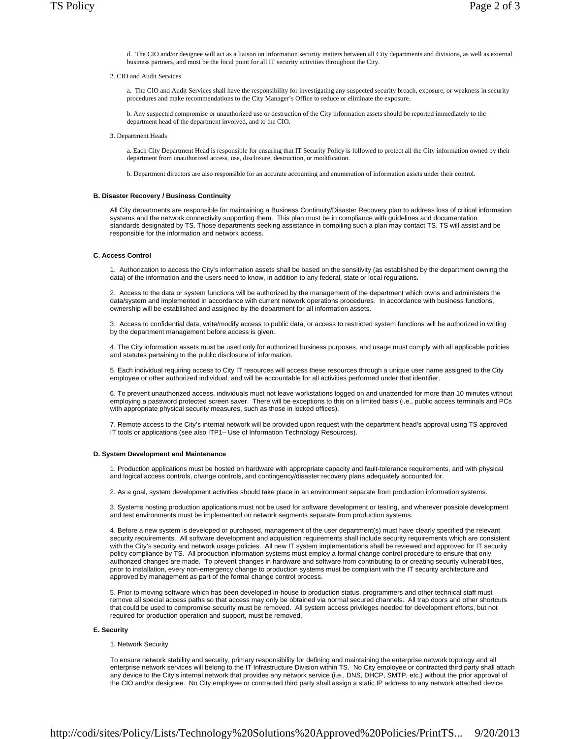- d. The CIO and/or designee will act as a liaison on information security matters between all City departments and divisions, as well as external business partners, and must be the focal point for all IT security activities throughout the City.
- 2. CIO and Audit Services

a. The CIO and Audit Services shall have the responsibility for investigating any suspected security breach, exposure, or weakness in security procedures and make recommendations to the City Manager's Office to reduce or eliminate the exposure.

b. Any suspected compromise or unauthorized use or destruction of the City information assets should be reported immediately to the department head of the department involved, and to the CIO.

3. Department Heads

a. Each City Department Head is responsible for ensuring that IT Security Policy is followed to protect all the City information owned by their department from unauthorized access, use, disclosure, destruction, or modification.

b. Department directors are also responsible for an accurate accounting and enumeration of information assets under their control.

### **B. Disaster Recovery / Business Continuity**

All City departments are responsible for maintaining a Business Continuity/Disaster Recovery plan to address loss of critical information systems and the network connectivity supporting them. This plan must be in compliance with guidelines and documentation standards designated by TS. Those departments seeking assistance in compiling such a plan may contact TS. TS will assist and be responsible for the information and network access.

#### **C. Access Control**

1. Authorization to access the City's information assets shall be based on the sensitivity (as established by the department owning the data) of the information and the users need to know, in addition to any federal, state or local regulations.

2. Access to the data or system functions will be authorized by the management of the department which owns and administers the data/system and implemented in accordance with current network operations procedures. In accordance with business functions, ownership will be established and assigned by the department for all information assets.

3. Access to confidential data, write/modify access to public data, or access to restricted system functions will be authorized in writing by the department management before access is given.

4. The City information assets must be used only for authorized business purposes, and usage must comply with all applicable policies and statutes pertaining to the public disclosure of information.

5. Each individual requiring access to City IT resources will access these resources through a unique user name assigned to the City employee or other authorized individual, and will be accountable for all activities performed under that identifier.

6. To prevent unauthorized access, individuals must not leave workstations logged on and unattended for more than 10 minutes without employing a password protected screen saver. There will be exceptions to this on a limited basis (i.e., public access terminals and PCs with appropriate physical security measures, such as those in locked offices).

7. Remote access to the City's internal network will be provided upon request with the department head's approval using TS approved IT tools or applications (see also ITP1– Use of Information Technology Resources).

#### **D. System Development and Maintenance**

1. Production applications must be hosted on hardware with appropriate capacity and fault-tolerance requirements, and with physical and logical access controls, change controls, and contingency/disaster recovery plans adequately accounted for.

2. As a goal, system development activities should take place in an environment separate from production information systems.

3. Systems hosting production applications must not be used for software development or testing, and wherever possible development and test environments must be implemented on network segments separate from production systems.

4. Before a new system is developed or purchased, management of the user department(s) must have clearly specified the relevant security requirements. All software development and acquisition requirements shall include security requirements which are consistent with the City's security and network usage policies. All new IT system implementations shall be reviewed and approved for IT security policy compliance by TS. All production information systems must employ a formal change control procedure to ensure that only authorized changes are made. To prevent changes in hardware and software from contributing to or creating security vulnerabilities, prior to installation, every non-emergency change to production systems must be compliant with the IT security architecture and approved by management as part of the formal change control process.

5. Prior to moving software which has been developed in-house to production status, programmers and other technical staff must remove all special access paths so that access may only be obtained via normal secured channels. All trap doors and other shortcuts that could be used to compromise security must be removed. All system access privileges needed for development efforts, but not required for production operation and support, must be removed.

# **E. Security**

#### 1. Network Security

To ensure network stability and security, primary responsibility for defining and maintaining the enterprise network topology and all enterprise network services will belong to the IT Infrastructure Division within TS. No City employee or contracted third party shall attach any device to the City's internal network that provides any network service (i.e., DNS, DHCP, SMTP, etc.) without the prior approval of the CIO and/or designee. No City employee or contracted third party shall assign a static IP address to any network attached device